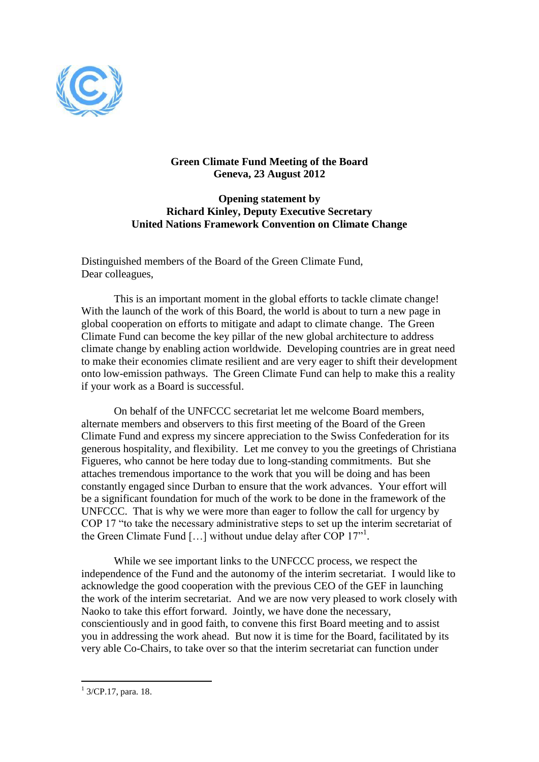

## **Green Climate Fund Meeting of the Board Geneva, 23 August 2012**

## **Opening statement by Richard Kinley, Deputy Executive Secretary United Nations Framework Convention on Climate Change**

Distinguished members of the Board of the Green Climate Fund, Dear colleagues,

This is an important moment in the global efforts to tackle climate change! With the launch of the work of this Board, the world is about to turn a new page in global cooperation on efforts to mitigate and adapt to climate change. The Green Climate Fund can become the key pillar of the new global architecture to address climate change by enabling action worldwide. Developing countries are in great need to make their economies climate resilient and are very eager to shift their development onto low-emission pathways. The Green Climate Fund can help to make this a reality if your work as a Board is successful.

On behalf of the UNFCCC secretariat let me welcome Board members, alternate members and observers to this first meeting of the Board of the Green Climate Fund and express my sincere appreciation to the Swiss Confederation for its generous hospitality, and flexibility. Let me convey to you the greetings of Christiana Figueres, who cannot be here today due to long-standing commitments. But she attaches tremendous importance to the work that you will be doing and has been constantly engaged since Durban to ensure that the work advances. Your effort will be a significant foundation for much of the work to be done in the framework of the UNFCCC. That is why we were more than eager to follow the call for urgency by COP 17 "to take the necessary administrative steps to set up the interim secretariat of the Green Climate Fund [...] without undue delay after COP 17<sup>"1</sup>.

While we see important links to the UNFCCC process, we respect the independence of the Fund and the autonomy of the interim secretariat. I would like to acknowledge the good cooperation with the previous CEO of the GEF in launching the work of the interim secretariat. And we are now very pleased to work closely with Naoko to take this effort forward. Jointly, we have done the necessary, conscientiously and in good faith, to convene this first Board meeting and to assist you in addressing the work ahead. But now it is time for the Board, facilitated by its very able Co-Chairs, to take over so that the interim secretariat can function under

 $\overline{a}$ 

<sup>&</sup>lt;sup>1</sup> 3/CP.17, para. 18.